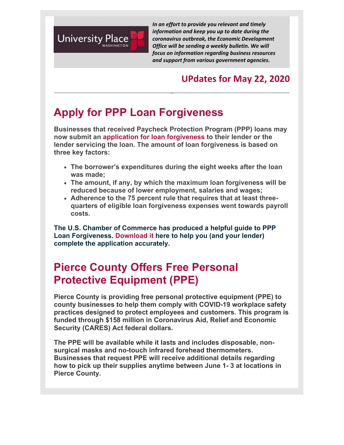

*In an effort to provide you relevant and timely information and keep you up to date during the coronavirus outbreak, the Economic Development Office will be sending a weekly bulletin. We will focus on information regarding business resources and support from various government agencies.*

#### **UPdates for May 22, 2020**

# **Apply for PPP Loan Forgiveness**

**Businesses that received Paycheck Protection Program (PPP) loans may now submit an application for loan forgiveness to their lender or the lender servicing the loan. The amount of loan forgiveness is based on three key factors:**

- **The borrower's expenditures during the eight weeks after the loan was made;**
- **The amount, if any, by which the maximum loan forgiveness will be reduced because of lower employment, salaries and wages;**
- **Adherence to the 75 percent rule that requires that at least threequarters of eligible loan forgiveness expenses went towards payroll costs.**

**The U.S. Chamber of Commerce has produced a helpful guide to PPP Loan Forgiveness. Download it here to help you (and your lender) complete the application accurately.** 

## **Pierce County Offers Free Personal Protective Equipment (PPE)**

**Pierce County is providing free personal protective equipment (PPE) to county businesses to help them comply with COVID-19 workplace safety practices designed to protect employees and customers. This program is funded through \$158 million in Coronavirus Aid, Relief and Economic Security (CARES) Act federal dollars.** 

**The PPE will be available while it lasts and includes disposable, nonsurgical masks and no-touch infrared forehead thermometers. Businesses that request PPE will receive additional details regarding how to pick up their supplies anytime between June 1- 3 at locations in Pierce County.**